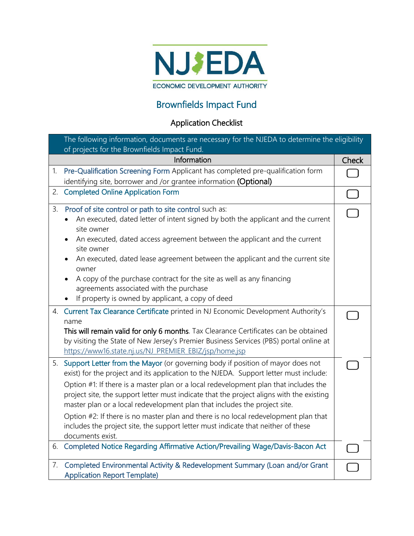

## Brownfields Impact Fund

## Application Checklist

|    | The following information, documents are necessary for the NJEDA to determine the eligibility<br>of projects for the Brownfields Impact Fund.                                                                                                                                                                                                                                                                                                                                                                                                                                                                                               |           |  |
|----|---------------------------------------------------------------------------------------------------------------------------------------------------------------------------------------------------------------------------------------------------------------------------------------------------------------------------------------------------------------------------------------------------------------------------------------------------------------------------------------------------------------------------------------------------------------------------------------------------------------------------------------------|-----------|--|
|    | Information                                                                                                                                                                                                                                                                                                                                                                                                                                                                                                                                                                                                                                 | Check     |  |
| 1. | Pre-Qualification Screening Form Applicant has completed pre-qualification form<br>identifying site, borrower and /or grantee information (Optional)                                                                                                                                                                                                                                                                                                                                                                                                                                                                                        |           |  |
| 2. | <b>Completed Online Application Form</b>                                                                                                                                                                                                                                                                                                                                                                                                                                                                                                                                                                                                    | $\bigcap$ |  |
| 3. | Proof of site control or path to site control such as:<br>An executed, dated letter of intent signed by both the applicant and the current<br>site owner<br>An executed, dated access agreement between the applicant and the current<br>site owner<br>An executed, dated lease agreement between the applicant and the current site<br>owner<br>A copy of the purchase contract for the site as well as any financing<br>agreements associated with the purchase<br>If property is owned by applicant, a copy of deed                                                                                                                      |           |  |
| 4. | Current Tax Clearance Certificate printed in NJ Economic Development Authority's<br>name<br>This will remain valid for only 6 months. Tax Clearance Certificates can be obtained<br>by visiting the State of New Jersey's Premier Business Services (PBS) portal online at<br>https://www16.state.nj.us/NJ_PREMIER_EBIZ/jsp/home.jsp                                                                                                                                                                                                                                                                                                        |           |  |
|    | 5. Support Letter from the Mayor (or governing body if position of mayor does not<br>exist) for the project and its application to the NJEDA. Support letter must include:<br>Option #1: If there is a master plan or a local redevelopment plan that includes the<br>project site, the support letter must indicate that the project aligns with the existing<br>master plan or a local redevelopment plan that includes the project site.<br>Option #2: If there is no master plan and there is no local redevelopment plan that<br>includes the project site, the support letter must indicate that neither of these<br>documents exist. |           |  |
|    | 6. Completed Notice Regarding Affirmative Action/Prevailing Wage/Davis-Bacon Act                                                                                                                                                                                                                                                                                                                                                                                                                                                                                                                                                            |           |  |
| 7. | Completed Environmental Activity & Redevelopment Summary (Loan and/or Grant<br><b>Application Report Template)</b>                                                                                                                                                                                                                                                                                                                                                                                                                                                                                                                          |           |  |